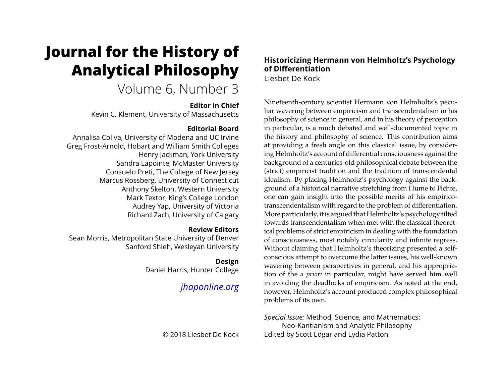# **Journal for the History of Analytical Philosophy**

# Volume 6, Number 3

#### **Editor in Chief**

Kevin C. Klement, University of Massachusetts

## **Editorial Board**

Annalisa Coliva, University of Modena and UC Irvine Greg Frost-Arnold, Hobart and William Smith Colleges Henry Jackman, York University Sandra Lapointe, McMaster University Consuelo Preti, The College of New Jersey Marcus Rossberg, University of Connecticut Anthony Skelton, Western University Mark Textor, King's College London Audrey Yap, University of Victoria Richard Zach, University of Calgary

### **Review Editors**

Sean Morris, Metropolitan State University of Denver Sanford Shieh, Wesleyan University

# **Design**

Daniel Harris, Hunter College

# *[jhaponline.org](https://jhaponline.org)*

© 2018 Liesbet De Kock

# **Historicizing Hermann von Helmholtz's Psychology of Differentiation**

Liesbet De Kock

Nineteenth-century scientist Hermann von Helmholtz's peculiar wavering between empiricism and transcendentalism in his philosophy of science in general, and in his theory of perception in particular, is a much debated and well-documented topic in the history and philosophy of science. This contribution aims at providing a fresh angle on this classical issue, by considering Helmholtz's account of differential consciousness against the background of a centuries-old philosophical debate between the (strict) empiricist tradition and the tradition of transcendental idealism. By placing Helmholtz's psychology against the background of a historical narrative stretching from Hume to Fichte, one can gain insight into the possible merits of his empiricotranscendentalism with regard to the problem of differentiation. More particularly, it is argued that Helmholtz's psychology tilted towards transcendentalism when met with the classical theoretical problems of strict empiricism in dealing with the foundation of consciousness, most notably circularity and infinite regress. Without claiming that Helmholtz's theorizing presented a selfconscious attempt to overcome the latter issues, his well-known wavering between perspectives in general, and his appropriation of the *a priori* in particular, might have served him well in avoiding the deadlocks of empiricism. As noted at the end, however, Helmholtz's account produced complex philosophical problems of its own.

*Special Issue:* Method, Science, and Mathematics: Neo-Kantianism and Analytic Philosophy Edited by Scott Edgar and Lydia Patton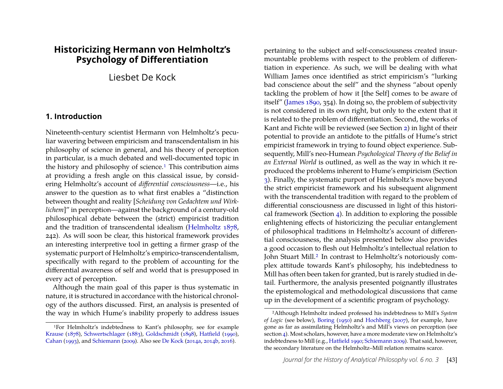### **Historicizing Hermann von Helmholtz's Psychology of Differentiation**

Liesbet De Kock

#### **1. Introduction**

Nineteenth-century scientist Hermann von Helmholtz's peculiar wavering between empiricism and transcendentalism in his philosophy of science in general, and his theory of perception in particular, is a much debated and well-documented topic in the history and philosophy of science.<sup>1</sup> This contribution aims at providing a fresh angle on this classical issue, by considering Helmholtz's account of *differential consciousness*—i.e., his answer to the question as to what first enables a "distinction between thought and reality [*Scheidung von Gedachtem und Wirklichem*]" in perception—against the background of a century-old philosophical debate between the (strict) empiricist tradition and the tradition of transcendental idealism [\(Helmholtz](#page-19-0) [1878,](#page-19-0) 242). As will soon be clear, this historical framework provides an interesting interpretive tool in getting a firmer grasp of the systematic purport of Helmholtz's empirico-transcendentalism, specifically with regard to the problem of accounting for the differential awareness of self and world that is presupposed in every act of perception.

Although the main goal of this paper is thus systematic in nature, it is structured in accordance with the historical chronology of the authors discussed. First, an analysis is presented of the way in which Hume's inability properly to address issues

pertaining to the subject and self-consciousness created insurmountable problems with respect to the problem of differentiation in experience. As such, we will be dealing with what William James once identified as strict empiricism's "lurking bad conscience about the self" and the shyness "about openly tackling the problem of how it [the Self] comes to be aware of itself" [\(James 1890,](#page-19-1) 354). In doing so, the problem of subjectivity is not considered in its own right, but only to the extent that it is related to the problem of differentiation. Second, the works of Kant and Fichte will be reviewed (see Section [2\)](#page-2-0) in light of their potential to provide an antidote to the pitfalls of Hume's strict empiricist framework in trying to found object experience. Subsequently, Mill's neo-Humean *Psychological Theory of the Belief in an External World* is outlined, as well as the way in which it reproduced the problems inherent to Hume's empiricism (Section [3\)](#page-7-0). Finally, the systematic purport of Helmholtz's move beyond the strict empiricist framework and his subsequent alignment with the transcendental tradition with regard to the problem of differential consciousness are discussed in light of this historical framework (Section [4\)](#page-9-0). In addition to exploring the possible enlightening effects of historicizing the peculiar entanglement of philosophical traditions in Helmholtz's account of differential consciousness, the analysis presented below also provides a good occasion to flesh out Helmholtz's intellectual relation to John Stuart Mill.<sup>2</sup> In contrast to Helmholtz's notoriously complex attitude towards Kant's philosophy, his indebtedness to Mill has often been taken for granted, but is rarely studied in detail. Furthermore, the analysis presented poignantly illustrates the epistemological and methodological discussions that came up in the development of a scientific program of psychology.

<span id="page-1-0"></span><sup>1</sup>For Helmholtz's indebtedness to Kant's philosophy, see for example [Krause](#page-20-0) [\(1878\)](#page-20-0), [Schwertschlager](#page-20-1) [\(1883\)](#page-20-1), [Goldschmidt](#page-18-0) [\(1898\)](#page-18-0), [Hatfield](#page-18-1) [\(1990\)](#page-18-1), [Cahan](#page-18-2) [\(1993\)](#page-18-2), and [Schiemann](#page-20-2) [\(2009\)](#page-20-2). Also see [De Kock](#page-18-3) [\(2014a,](#page-18-3) [2014b,](#page-18-4) [2016\)](#page-18-5).

<span id="page-1-1"></span><sup>2</sup>Although Helmholtz indeed professed his indebtedness to Mill's *System of Logic* (see below), [Boring](#page-18-6) [\(1950\)](#page-18-6) and [Hochberg](#page-19-2) [\(2007\)](#page-19-2), for example, have gone as far as assimilating Helmholtz's and Mill's views on perception (see section [4\)](#page-9-0). Most scholars, however, have a more moderate view on Helmholtz's indebtedness to Mill (e.g., [Hatfield 1990;](#page-18-1) [Schiemann 2009\)](#page-20-2). That said, however, the secondary literature on the Helmholtz–Mill relation remains scarce.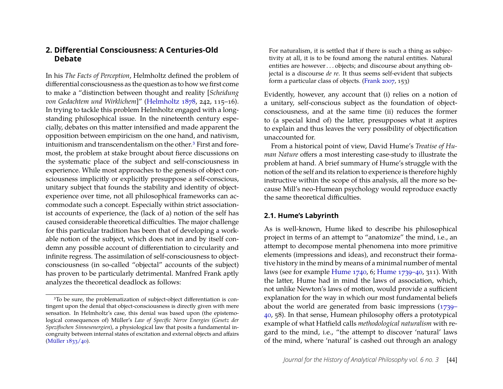#### <span id="page-2-0"></span>**2. Differential Consciousness: A Centuries-Old Debate**

In his *The Facts of Perception*, Helmholtz defined the problem of differential consciousness as the question as to how we first come to make a "distinction between thought and reality [*Scheidung von Gedachtem und Wirklichem*]" [\(Helmholtz 1878,](#page-19-0) 242, 115–16). In trying to tackle this problem Helmholtz engaged with a longstanding philosophical issue. In the nineteenth century especially, debates on this matter intensified and made apparent the opposition between empiricism on the one hand, and nativism, intuitionism and transcendentalism on the other.[3](#page-2-1) First and foremost, the problem at stake brought about fierce discussions on the systematic place of the subject and self-consciousness in experience. While most approaches to the genesis of object consciousness implicitly or explicitly presuppose a self-conscious, unitary subject that founds the stability and identity of objectexperience over time, not all philosophical frameworks can accommodate such a concept. Especially within strict associationist accounts of experience, the (lack of a) notion of the self has caused considerable theoretical difficulties. The major challenge for this particular tradition has been that of developing a workable notion of the subject, which does not in and by itself condemn any possible account of differentiation to circularity and infinite regress. The assimilation of self-consciousness to objectconsciousness (in so-called "objectal" accounts of the subject) has proven to be particularly detrimental. Manfred Frank aptly analyzes the theoretical deadlock as follows:

For naturalism, it is settled that if there is such a thing as subjectivity at all, it is to be found among the natural entities. Natural entities are however . . . objects; and discourse about anything objectal is a discourse *de re*. It thus seems self-evident that subjects form a particular class of objects. [\(Frank 2007,](#page-18-7) 153)

Evidently, however, any account that (i) relies on a notion of a unitary, self-conscious subject as the foundation of objectconsciousness, and at the same time (ii) reduces the former to (a special kind of) the latter, presupposes what it aspires to explain and thus leaves the very possibility of objectification unaccounted for.

From a historical point of view, David Hume's *Treatise of Human Nature* offers a most interesting case-study to illustrate the problem at hand. A brief summary of Hume's struggle with the notion of the self and its relation to experience is therefore highly instructive within the scope of this analysis, all the more so because Mill's neo-Humean psychology would reproduce exactly the same theoretical difficulties.

#### <span id="page-2-2"></span>**2.1. Hume's Labyrinth**

As is well-known, Hume liked to describe his philosophical project in terms of an attempt to "anatomize" the mind, i.e., an attempt to decompose mental phenomena into more primitive elements (impressions and ideas), and reconstruct their formative history in the mind by means of a minimal number of mental laws (see for example [Hume 1740,](#page-19-3) 6; [Hume 1739–40,](#page-19-4) 311). With the latter, Hume had in mind the laws of association, which, not unlike Newton's laws of motion, would provide a sufficient explanation for the way in which our most fundamental beliefs about the world are generated from basic impressions [\(1739–](#page-19-4) [40,](#page-19-4) 58). In that sense, Humean philosophy offers a prototypical example of what Hatfield calls *methodological naturalism* with regard to the mind, i.e., "the attempt to discover 'natural' laws of the mind, where 'natural' is cashed out through an analogy

<span id="page-2-1"></span><sup>&</sup>lt;sup>3</sup>To be sure, the problematization of subject-object differentiation is contingent upon the denial that object-consciousness is directly given with mere sensation. In Helmholtz's case, this denial was based upon (the epistemological consequences of) Müller's *Law of Specific Nerve Energies* (*Gesetz der Spezifischen Sinnesenergien*), a physiological law that posits a fundamental incongruity between internal states of excitation and external objects and affairs [\(Müller 1833/40\)](#page-20-3).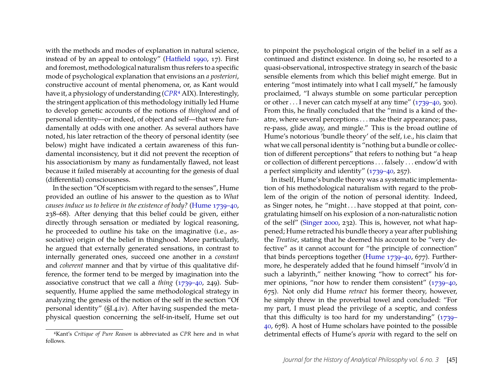with the methods and modes of explanation in natural science, instead of by an appeal to ontology" [\(Hatfield 1990,](#page-18-1) 17). First and foremost, methodological naturalism thus refers to a specific mode of psychological explanation that envisions an *a posteriori*, constructive account of mental phenomena, or, as Kant would have it, a physiology of understanding (*[CPR](#page-19-5)*[4](#page-3-0) AIX). Interestingly, the stringent application of this methodology initially led Hume to develop genetic accounts of the notions of *thinghood* and of personal identity—or indeed, of object and self—that were fundamentally at odds with one another. As several authors have noted, his later retraction of the theory of personal identity (see below) might have indicated a certain awareness of this fundamental inconsistency, but it did not prevent the reception of his associationism by many as fundamentally flawed, not least because it failed miserably at accounting for the genesis of dual (differential) consciousness.

In the section "Of scepticism with regard to the senses", Hume provided an outline of his answer to the question as to *What causes induce us to believe in the existence of body?* [\(Hume 1739–40,](#page-19-4) 238–68). After denying that this belief could be given, either directly through sensation or mediated by logical reasoning, he proceeded to outline his take on the imaginative (i.e., associative) origin of the belief in thinghood. More particularly, he argued that externally generated sensations, in contrast to internally generated ones, succeed one another in a *constant* and *coherent* manner and that by virtue of this qualitative difference, the former tend to be merged by imagination into the associative construct that we call a *thing* [\(1739–40,](#page-19-4) 249). Subsequently, Hume applied the same methodological strategy in analyzing the genesis of the notion of the self in the section "Of personal identity" (§I.4.iv). After having suspended the metaphysical question concerning the self-in-itself, Hume set out

to pinpoint the psychological origin of the belief in a self as a continued and distinct existence. In doing so, he resorted to a quasi-observational, introspective strategy in search of the basic sensible elements from which this belief might emerge. But in entering "most intimately into what I call myself," he famously proclaimed, "I always stumble on some particular perception or other . . . I never can catch myself at any time" [\(1739–40,](#page-19-4) 300). From this, he finally concluded that the "mind is a kind of theatre, where several perceptions . . . make their appearance; pass, re-pass, glide away, and mingle." This is the broad outline of Hume's notorious 'bundle theory' of the self, i.e., his claim that what we call personal identity is "nothing but a bundle or collection of different perceptions" that refers to nothing but "a heap or collection of different perceptions . . . falsely . . . endow'd with a perfect simplicity and identity" [\(1739–40,](#page-19-4) 257).

In itself, Hume's bundle theory was a systematic implementation of his methodological naturalism with regard to the problem of the origin of the notion of personal identity. Indeed, as Singer notes, he "might . . . have stopped at that point, congratulating himself on his explosion of a non-naturalistic notion of the self" [\(Singer 2000,](#page-20-4) 232). This is, however, not what happened; Hume retracted his bundle theory a year after publishing the *Treatise*, stating that he deemed his account to be "very defective" as it cannot account for "the principle of connection" that binds perceptions together [\(Hume 1739–40,](#page-19-4) 677). Furthermore, he desperately added that he found himself "involv'd in such a labyrinth," neither knowing "how to correct" his former opinions, "nor how to render them consistent" [\(1739–40,](#page-19-4) 675). Not only did Hume *retract* his former theory, however, he simply threw in the proverbial towel and concluded: "For my part, I must plead the privilege of a sceptic, and confess that this difficulty is too hard for my understanding" [\(1739–](#page-19-4) [40,](#page-19-4) 678). A host of Hume scholars have pointed to the possible detrimental effects of Hume's *aporia* with regard to the self on

<span id="page-3-0"></span><sup>4</sup>Kant's *Critique of Pure Reason* is abbreviated as *CPR* here and in what follows.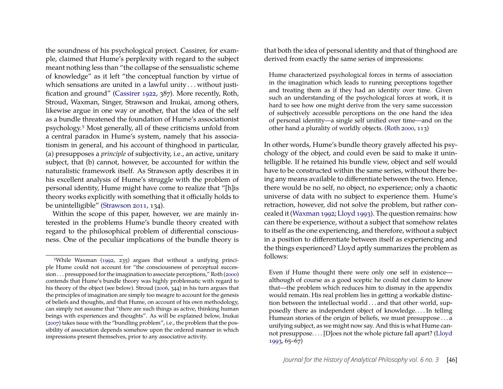the soundness of his psychological project. Cassirer, for example, claimed that Hume's perplexity with regard to the subject meant nothing less than "the collapse of the sensualistic scheme of knowledge" as it left "the conceptual function by virtue of which sensations are united in a lawful unity ... without justification and ground" [\(Cassirer 1922,](#page-18-8) 387). More recently, Roth, Stroud, Waxman, Singer, Strawson and Inukai, among others, likewise argue in one way or another, that the idea of the self as a bundle threatened the foundation of Hume's associationist psychology.[5](#page-4-0) Most generally, all of these criticisms unfold from a central paradox in Hume's system, namely that his associationism in general, and his account of thinghood in particular, (a) presupposes a *principle* of subjectivity, i.e., an active, unitary subject, that (b) cannot, however, be accounted for within the naturalistic framework itself. As Strawson aptly describes it in his excellent analysis of Hume's struggle with the problem of personal identity, Hume might have come to realize that "[h]is theory works explicitly with something that it officially holds to be unintelligible" [\(Strawson 2011,](#page-20-5) 134).

Within the scope of this paper, however, we are mainly interested in the problems Hume's bundle theory created with regard to the philosophical problem of differential consciousness. One of the peculiar implications of the bundle theory is

that both the idea of personal identity and that of thinghood are derived from exactly the same series of impressions:

Hume characterized psychological forces in terms of association in the imagination which leads to running perceptions together and treating them as if they had an identity over time. Given such an understanding of the psychological forces at work, it is hard to see how one might derive from the very same succession of subjectively accessible perceptions on the one hand the idea of personal identity—a single self unified over time—and on the other hand a plurality of worldly objects. [\(Roth 2000,](#page-20-7) 113)

In other words, Hume's bundle theory gravely affected his psychology of the object, and could even be said to make it unintelligible. If he retained his bundle view, object and self would have to be constructed within the same series, without there being any means available to differentiate between the two. Hence, there would be no self, no object, no experience; only a chaotic universe of data with no subject to experience them. Hume's retraction, however, did not solve the problem, but rather concealed it [\(Waxman 1992;](#page-20-6) [Lloyd 1993\)](#page-20-9). The question remains: how can there be experience, without a subject that somehow relates to itself as the one experiencing, and therefore, without a subject in a position to differentiate between itself as experiencing and the things experienced? Lloyd aptly summarizes the problem as follows:

Even if Hume thought there were only one self in existence although of course as a good sceptic he could not claim to know that—the problem which reduces him to dismay in the appendix would remain. His real problem lies in getting a workable distinction between the intellectual world . . . and that other world, supposedly there as independent object of knowledge. . . . In telling Humean stories of the origin of beliefs, we must presuppose . . . a unifying subject, as we might now say. And this is what Hume cannot presuppose. . . . [D]oes not the whole picture fall apart? [\(Lloyd](#page-20-9) [1993,](#page-20-9) 65–67)

<span id="page-4-0"></span><sup>5</sup>While Waxman [\(1992,](#page-20-6) 235) argues that without a unifying principle Hume could not account for "the consciousness of perceptual succes-sion . . . presupposed for the imagination to associate perceptions," Roth [\(2000\)](#page-20-7) contends that Hume's bundle theory was highly problematic with regard to his theory of the object (see below). Stroud [\(2006,](#page-20-8) 344) in his turn argues that the principles of imagination are simply too meagre to account for the genesis of beliefs and thoughts, and that Hume, on account of his own methodology, can simply not assume that "there are such things as active, thinking human beings with experiences and thoughts". As will be explained below, Inukai [\(2007\)](#page-19-6) takes issue with the "bundling problem", i.e., the problem that the possibility of association depends somehow upon the ordered manner in which impressions present themselves, prior to any associative activity.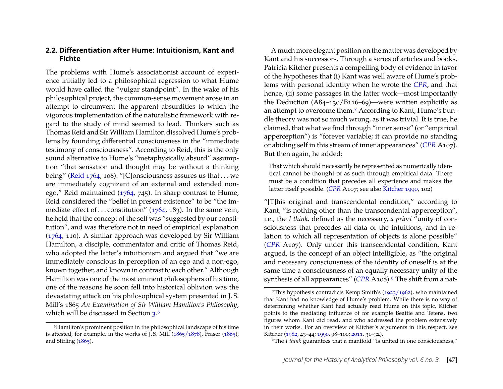#### **2.2. Differentiation after Hume: Intuitionism, Kant and Fichte**

The problems with Hume's associationist account of experience initially led to a philosophical regression to what Hume would have called the "vulgar standpoint". In the wake of his philosophical project, the common-sense movement arose in an attempt to circumvent the apparent absurdities to which the vigorous implementation of the naturalistic framework with regard to the study of mind seemed to lead. Thinkers such as Thomas Reid and Sir William Hamilton dissolved Hume's problems by founding differential consciousness in the "immediate testimony of consciousness". According to Reid, this is the only sound alternative to Hume's "metaphysically absurd" assumption "that sensation and thought may be without a thinking being" [\(Reid 1764,](#page-20-10) 108). "[C]onsciousness assures us that . . . we are immediately cognizant of an external and extended nonego," Reid maintained [\(1764,](#page-20-10) 745). In sharp contrast to Hume, Reid considered the "belief in present existence" to be "the immediate effect of ... constitution"  $(1764, 183)$  $(1764, 183)$ . In the same vein, he held that the concept of the self was "suggested by our constitution", and was therefore not in need of empirical explanation [\(1764,](#page-20-10) 110). A similar approach was developed by Sir William Hamilton, a disciple, commentator and critic of Thomas Reid, who adopted the latter's intuitionism and argued that "we are immediately conscious in perception of an ego and a non-ego, known together, and known in contrast to each other." Although Hamilton was one of the most eminent philosophers of his time, one of the reasons he soon fell into historical oblivion was the devastating attack on his philosophical system presented in J. S. Mill's 1865 *An Examination of Sir William Hamilton's Philosophy*, which will be discussed in Section [3.](#page-7-0)<sup>[6](#page-5-0)</sup>

A much more elegant position on the matter was developed by Kant and his successors. Through a series of articles and books, Patricia Kitcher presents a compelling body of evidence in favor of the hypotheses that (i) Kant was well aware of Hume's problems with personal identity when he wrote the *[CPR](#page-19-5)*, and that hence, (ii) some passages in the latter work—most importantly the Deduction (A84–130/B116–69)—were written explicitly as an attempt to overcome them.[7](#page-5-1) According to Kant, Hume's bundle theory was not so much wrong, as it was trivial. It is true, he claimed, that what we find through "inner sense" (or "empirical apperception") is "forever variable; it can provide no standing or abiding self in this stream of inner appearances" (*[CPR](#page-19-5)* A107). But then again, he added:

That which should necessarily be represented as numerically identical cannot be thought of as such through empirical data. There must be a condition that precedes all experience and makes the latter itself possible. (*[CPR](#page-19-5)* A107; see also [Kitcher 1990,](#page-20-13) 102)

"[T]his original and transcendental condition," according to Kant, "is nothing other than the transcendental apperception", i.e., the *I think,* defined as the necessary, *a priori* "unity of consciousness that precedes all data of the intuitions, and in relation to which all representation of objects is alone possible" (*[CPR](#page-19-5)* A107). Only under this transcendental condition, Kant argued, is the concept of an object intelligible, as "the original and necessary consciousness of the identity of oneself is at the same time a consciousness of an equally necessary unity of the synthesis of all appearances" (*[CPR](#page-19-5)* A10[8](#page-5-2)).<sup>8</sup> The shift from a nat-

<span id="page-5-0"></span><sup>6</sup>Hamilton's prominent position in the philosophical landscape of his time is attested, for example, in the works of J.S. Mill  $(1865/1878)$ , Fraser  $(1865)$ , and Stirling [\(1865\)](#page-20-12).

<span id="page-5-1"></span><sup>&</sup>lt;sup>7</sup>This hypothesis contradicts Kemp Smith's  $(1923/1962)$ , who maintained that Kant had no knowledge of Hume's problem. While there is no way of determining whether Kant had actually read Hume on this topic, Kitcher points to the mediating influence of for example Beattie and Tetens, two figures whom Kant did read, and who addressed the problem extensively in their works. For an overview of Kitcher's arguments in this respect, see Kitcher [\(1982,](#page-19-8) 43–44; [1990,](#page-20-13) 98–100; [2011,](#page-20-14) 31–32).

<span id="page-5-2"></span><sup>8</sup>The *I think* guarantees that a manifold "is united in one consciousness,"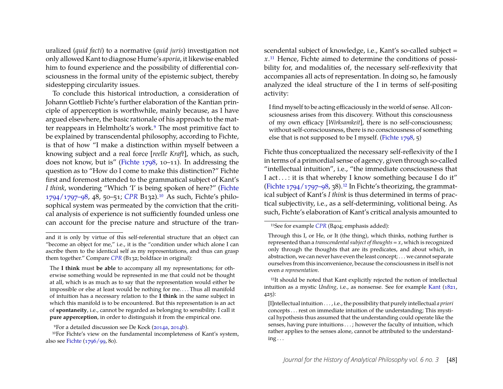uralized (*quid facti*) to a normative (*quid juris*) investigation not only allowed Kant to diagnose Hume's *aporia*, it likewise enabled him to found experience and the possibility of differential consciousness in the formal unity of the epistemic subject, thereby sidestepping circularity issues.

To conclude this historical introduction, a consideration of Johann Gottlieb Fichte's further elaboration of the Kantian principle of apperception is worthwhile, mainly because, as I have argued elsewhere, the basic rationale of his approach to the matter reappears in Helmholtz's work.[9](#page-6-0) The most primitive fact to be explained by transcendental philosophy, according to Fichte, is that of how "I make a distinction within myself between a knowing subject and a real force [*reelle Kraft*], which, as such, does not know, but is" [\(Fichte 1798,](#page-18-10) 10–11). In addressing the question as to "How do I come to make this distinction?" Fichte first and foremost attended to the grammatical subject of Kant's *I think*, wondering "Which 'I' is being spoken of here?" [\(Fichte](#page-18-11) [1794/1797–98,](#page-18-11) 48, 50–51; *[CPR](#page-19-5)* B132).[10](#page-6-1) As such, Fichte's philosophical system was permeated by the conviction that the critical analysis of experience is not sufficiently founded unless one can account for the precise nature and structure of the transcendental subject of knowledge, i.e., Kant's so-called subject = *x*.[11](#page-6-2) Hence, Fichte aimed to determine the conditions of possibility for, and modalities of, the necessary self-reflexivity that accompanies all acts of representation. In doing so, he famously analyzed the ideal structure of the I in terms of self-positing activity:

I find myself to be acting efficaciously in the world of sense. All consciousness arises from this discovery. Without this consciousness of my own efficacy [*Wirksamkeit*], there is no self-consciousness; without self-consciousness, there is no consciousness of something else that is not supposed to be I myself. [\(Fichte 1798,](#page-18-10) 5)

Fichte thus conceptualized the necessary self-reflexivity of the I in terms of a primordial sense of agency*,* given through so-called "intellectual intuition", i.e., "the immediate consciousness that I act . . . : it is that whereby I know something because I do it" (Fichte  $1794/1797-98$ , 38).<sup>[12](#page-6-3)</sup> In Fichte's theorizing, the grammatical subject of Kant's *I think* is thus determined in terms of practical subjectivity, i.e., as a self-determining, volitional being. As such, Fichte's elaboration of Kant's critical analysis amounted to

and it is only by virtue of this self-referential structure that an object can "become an object for me," i.e., it is the "condition under which alone I can ascribe them to the identical self as my representations, and thus can grasp them together." Compare *[CPR](#page-19-5)* (B132; boldface in original):

The **I think** must **be able** to accompany all my representations; for otherwise something would be represented in me that could not be thought at all, which is as much as to say that the representation would either be impossible or else at least would be nothing for me. . . . Thus all manifold of intuition has a necessary relation to the **I think** in the same subject in which this manifold is to be encountered. But this representation is an act of **spontaneity**, i.e., cannot be regarded as belonging to sensibility. I call it **pure apperception**, in order to distinguish it from the empirical one.

<span id="page-6-1"></span><span id="page-6-0"></span><sup>9</sup>For a detailed discussion see De Kock [\(2014a,](#page-18-3) [2014b\)](#page-18-4).

<sup>10</sup>For Fichte's view on the fundamental incompleteness of Kant's system, also see [Fichte](#page-18-12) [\(1796/99,](#page-18-12) 80).

<span id="page-6-2"></span><sup>11</sup>See for example *[CPR](#page-19-5)* (B404; emphasis added):

Through this I, or He, or It (the thing), which thinks, nothing further is represented than a *transcendental subject of thoughts = x*, which is recognized only through the thoughts that are its predicates, and about which, in abstraction, we can never have even the least concept; . . . we cannot separate ourselves from this inconvenience, because the consciousness in itself is not even *a representation*.

<span id="page-6-3"></span><sup>12</sup>It should be noted that Kant explicitly rejected the notion of intellectual intuition as a mystic *Unding*, i.e., as nonsense. See for example [Kant](#page-19-9) [\(1821,](#page-19-9) 425):

<sup>[</sup>I]ntellectual intuition . . . , i.e., the possibility that purely intellectual *a priori* concepts . . . rest on immediate intuition of the understanding; This mystical hypothesis thus assumed that the understanding could operate like the senses, having pure intuitions . . . ; however the faculty of intuition, which rather applies to the senses alone, cannot be attributed to the understand $ing...$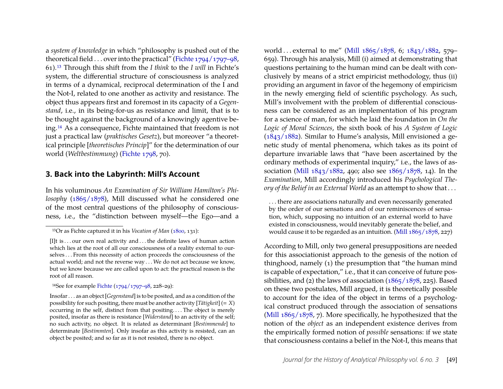a *system of knowledge* in which "philosophy is pushed out of the theoretical field . . . over into the practical" [\(Fichte 1794/1797–98,](#page-18-11) 61).[13](#page-7-1) Through this shift from the *I think* to the *I will* in Fichte's system, the differential structure of consciousness is analyzed in terms of a dynamical, reciprocal determination of the I and the Not-I, related to one another as activity and resistance. The object thus appears first and foremost in its capacity of a *Gegenstand*, i.e., in its being-for-us as resistance and limit, that is to be thought against the background of a knowingly agentive being.[14](#page-7-2) As a consequence, Fichte maintained that freedom is not just a practical law (*praktisches Gesetz*), but moreover "a theoretical principle [*theoretisches Princip*]" for the determination of our world (*Weltbestimmung*) [\(Fichte 1798,](#page-18-10) 70).

#### <span id="page-7-0"></span>**3. Back into the Labyrinth: Mill's Account**

In his voluminous *An Examination of Sir William Hamilton's Philosophy* [\(1865/1878\)](#page-20-11), Mill discussed what he considered one of the most central questions of the philosophy of consciousness, i.e., the "distinction between myself—the Ego—and a

<span id="page-7-2"></span>14See for example [Fichte](#page-18-11) [\(1794/1797–98,](#page-18-11) 228–29):

Insofar . . . as an object [*Gegenstand*] is to be posited, and as a condition of the possibility for such positing, there must be another activity  $[T \ddot{a} t \dot{a} g \dot{k} e^{i t}] (= X)$ occurring in the self, distinct from that positing. . . . The object is merely posited, insofar as there is resistance [*Widerstand*] to an activity of the self; no such activity, no object. It is related as determinant [*Bestimmende*] to determinate [*Bestimmten*]. Only insofar as this activity is resisted, can an object be posited; and so far as it is not resisted, there is no object.

world . . . external to me" [\(Mill 1865/1878,](#page-20-11) 6; [1843/1882,](#page-20-15) 579– 659). Through his analysis, Mill (i) aimed at demonstrating that questions pertaining to the human mind can be dealt with conclusively by means of a strict empiricist methodology, thus (ii) providing an argument in favor of the hegemony of empiricism in the newly emerging field of scientific psychology. As such, Mill's involvement with the problem of differential consciousness can be considered as an implementation of his program for a science of man, for which he laid the foundation in *On the Logic of Moral Sciences*, the sixth book of his *A System of Logic* [\(1843/1882\)](#page-20-15). Similar to Hume's analysis, Mill envisioned a genetic study of mental phenomena, which takes as its point of departure invariable laws that "have been ascertained by the ordinary methods of experimental inquiry," i.e., the laws of association [\(Mill 1843/1882,](#page-20-15) 490; also see [1865/1878,](#page-20-11) 14). In the *Examination*, Mill accordingly introduced his *Psychological Theory of the Belief in an External World* as an attempt to show that . . .

. . . there are associations naturally and even necessarily generated by the order of our sensations and of our reminiscences of sensation, which, supposing no intuition of an external world to have existed in consciousness, would inevitably generate the belief, and would cause it to be regarded as an intuition. [\(Mill 1865/1878,](#page-20-11) 227)

According to Mill, only two general presuppositions are needed for this associationist approach to the genesis of the notion of thinghood, namely (1) the presumption that "the human mind is capable of expectation," i.e., that it can conceive of future possibilities, and (2) the laws of association  $(1865/1878, 225)$  $(1865/1878, 225)$ . Based on these two postulates, Mill argued, it is theoretically possible to account for the idea of the object in terms of a psychological construct produced through the association of sensations [\(Mill 1865/1878,](#page-20-11) 7). More specifically, he hypothesized that the notion of the *object* as an independent existence derives from the empirically formed notion of *possible* sensations: if we state that consciousness contains a belief in the Not-I, this means that

<span id="page-7-1"></span><sup>13</sup>Or as Fichte captured it in his *Vocation of Man* [\(1800,](#page-18-13) 131):

<sup>[</sup>I]t is ... our own real activity and ... the definite laws of human action which lies at the root of all our consciousness of a reality external to ourselves . . . From this necessity of action proceeds the consciousness of the actual world; and not the reverse way . . . We do not act because we know, but we know because we are called upon to act: the practical reason is the root of all reason.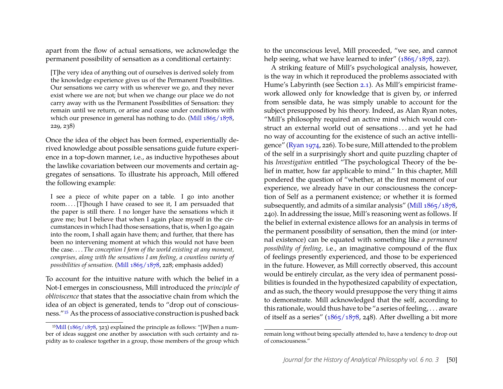apart from the flow of actual sensations, we acknowledge the permanent possibility of sensation as a conditional certainty:

[T]he very idea of anything out of ourselves is derived solely from the knowledge experience gives us of the Permanent Possibilities. Our sensations we carry with us wherever we go, and they never exist where we are not; but when we change our place we do not carry away with us the Permanent Possibilities of Sensation: they remain until we return, or arise and cease under conditions with which our presence in general has nothing to do. [\(Mill 1865/1878,](#page-20-11) 229, 238)

Once the idea of the object has been formed, experientially derived knowledge about possible sensations guide future experience in a top-down manner, i.e., as inductive hypotheses about the lawlike covariation between our movements and certain aggregates of sensations. To illustrate his approach, Mill offered the following example:

I see a piece of white paper on a table. I go into another room. . . . [T]hough I have ceased to see it, I am persuaded that the paper is still there. I no longer have the sensations which it gave me; but I believe that when I again place myself in the circumstances in which I had those sensations, that is, when I go again into the room, I shall again have them; and further, that there has been no intervening moment at which this would not have been the case. . . . *The conception I form of the world existing at any moment, comprises, along with the sensations I am feeling, a countless variety of possibilities of sensation.* [\(Mill 1865/1878,](#page-20-11) 228; emphasis added)

To account for the intuitive nature with which the belief in a Not-I emerges in consciousness, Mill introduced the *principle of obliviscence* that states that the associative chain from which the idea of an object is generated, tends to "drop out of consciousness."[15](#page-8-0) As the process of associative construction is pushed back

to the unconscious level, Mill proceeded, "we see, and cannot help seeing, what we have learned to infer" [\(1865/1878,](#page-20-11) 227).

A striking feature of Mill's psychological analysis, however, is the way in which it reproduced the problems associated with Hume's Labyrinth (see Section [2.1\)](#page-2-2). As Mill's empiricist framework allowed only for knowledge that is given by, or inferred from sensible data, he was simply unable to account for the subject presupposed by his theory. Indeed, as Alan Ryan notes, "Mill's philosophy required an active mind which would construct an external world out of sensations . . . and yet he had no way of accounting for the existence of such an active intelligence" [\(Ryan 1974,](#page-20-16) 226). To be sure, Mill attended to the problem of the self in a surprisingly short and quite puzzling chapter of his *Investigation* entitled "The psychological Theory of the belief in matter, how far applicable to mind." In this chapter, Mill pondered the question of "whether, at the first moment of our experience, we already have in our consciousness the conception of Self as a permanent existence; or whether it is formed subsequently, and admits of a similar analysis" [\(Mill 1865/1878,](#page-20-11) 240). In addressing the issue, Mill's reasoning went as follows. If the belief in external existence allows for an analysis in terms of the permanent possibility of sensation, then the mind (or internal existence) can be equated with something like *a permanent possibility of feeling,* i.e., an imaginative compound of the flux of feelings presently experienced, and those to be experienced in the future. However, as Mill correctly observed, this account would be entirely circular, as the very idea of permanent possibilities is founded in the hypothesized capability of expectation, and as such, the theory would presuppose the very thing it aims to demonstrate. Mill acknowledged that the self, according to this rationale, would thus have to be "a series of feeling, . . . aware of itself as a series" [\(1865/1878,](#page-20-11) 248). After dwelling a bit more

<span id="page-8-0"></span><sup>&</sup>lt;sup>15</sup>[Mill](#page-20-11) [\(1865/1878,](#page-20-11) 323) explained the principle as follows: "[W]hen a number of ideas suggest one another by association with such certainty and rapidity as to coalesce together in a group, those members of the group which

remain long without being specially attended to, have a tendency to drop out of consciousness."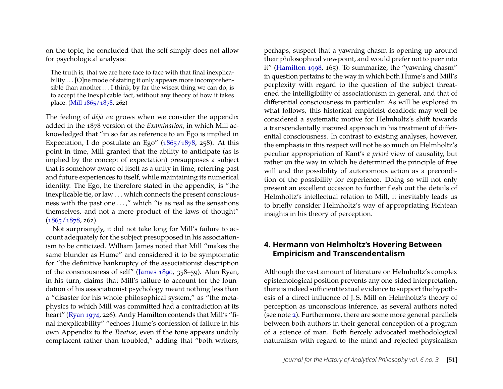on the topic, he concluded that the self simply does not allow for psychological analysis:

The truth is, that we are here face to face with that final inexplicability . . . [O]ne mode of stating it only appears more incomprehensible than another  $\dots$  I think, by far the wisest thing we can do, is to accept the inexplicable fact, without any theory of how it takes place. [\(Mill 1865/1878,](#page-20-11) 262)

The feeling of *déjà vu* grows when we consider the appendix added in the 1878 version of the *Examination*, in which Mill acknowledged that "in so far as reference to an Ego is implied in Expectation, I do postulate an Ego" [\(1865/1878,](#page-20-11) 258). At this point in time, Mill granted that the ability to anticipate (as is implied by the concept of expectation) presupposes a subject that is somehow aware of itself as a unity in time, referring past and future experiences to itself, while maintaining its numerical identity. The Ego, he therefore stated in the appendix, is "the inexplicable tie, or law . . . which connects the present consciousness with the past one . . . ," which "is as real as the sensations themselves, and not a mere product of the laws of thought"  $(1865/1878, 262)$  $(1865/1878, 262)$ .

Not surprisingly, it did not take long for Mill's failure to account adequately for the subject presupposed in his associationism to be criticized. William James noted that Mill "makes the same blunder as Hume" and considered it to be symptomatic for "the definitive bankruptcy of the associationist description of the consciousness of self" [\(James 1890,](#page-19-1) 358–59). Alan Ryan, in his turn, claims that Mill's failure to account for the foundation of his associationist psychology meant nothing less than a "disaster for his whole philosophical system," as "the metaphysics to which Mill was committed had a contradiction at its heart" [\(Ryan 1974,](#page-20-16) 226). Andy Hamilton contends that Mill's "final inexplicability" "echoes Hume's confession of failure in his own Appendix to the *Treatise*, even if the tone appears unduly complacent rather than troubled," adding that "both writers,

perhaps, suspect that a yawning chasm is opening up around their philosophical viewpoint, and would prefer not to peer into it" [\(Hamilton 1998,](#page-18-14) 165). To summarize, the "yawning chasm" in question pertains to the way in which both Hume's and Mill's perplexity with regard to the question of the subject threatened the intelligibility of associationism in general, and that of differential consciousness in particular. As will be explored in what follows, this historical empiricist deadlock may well be considered a systematic motive for Helmholtz's shift towards a transcendentally inspired approach in his treatment of differential consciousness. In contrast to existing analyses, however, the emphasis in this respect will not be so much on Helmholtz's peculiar appropriation of Kant's *a priori* view of causality, but rather on the way in which he determined the principle of free will and the possibility of autonomous action as a precondition of the possibility for experience. Doing so will not only present an excellent occasion to further flesh out the details of Helmholtz's intellectual relation to Mill, it inevitably leads us to briefly consider Helmholtz's way of appropriating Fichtean insights in his theory of perception.

#### <span id="page-9-0"></span>**4. Hermann von Helmholtz's Hovering Between Empiricism and Transcendentalism**

Although the vast amount of literature on Helmholtz's complex epistemological position prevents any one-sided interpretation, there is indeed sufficient textual evidence to support the hypothesis of a direct influence of J. S. Mill on Helmholtz's theory of perception as unconscious inference, as several authors noted (see note [2\)](#page-1-1). Furthermore, there are some more general parallels between both authors in their general conception of a program of a science of man. Both fiercely advocated methodological naturalism with regard to the mind and rejected physicalism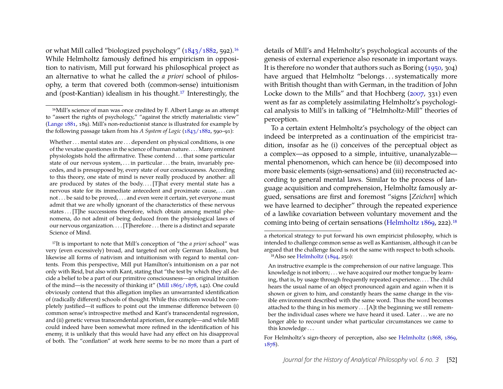or what Mill called "biologized psychology" [\(1843/1882,](#page-20-15) 592).[16](#page-10-0) While Helmholtz famously defined his empiricism in opposition to nativism, Mill put forward his philosophical project as an alternative to what he called the *a priori* school of philosophy, a term that covered both (common-sense) intuitionism and (post-Kantian) idealism in his thought.[17](#page-10-1) Interestingly, the

Whether . . . mental states are . . . dependent on physical conditions, is one of the vexatae questiones in the science of human nature. . . . Many eminent physiologists hold the affirmative. These contend . . . that some particular state of our nervous system, ... in particular ... the brain, invariably precedes, and is presupposed by, every state of our consciousness. According to this theory, one state of mind is never really produced by another: all are produced by states of the body.... [T]hat every mental state has a nervous state for its immediate antecedent and proximate cause, . . . can not . . . be said to be proved, . . . and even were it certain, yet everyone must admit that we are wholly ignorant of the characteristics of these nervous states ... [T]he successions therefore, which obtain among mental phenomena, do not admit of being deduced from the physiological laws of our nervous organization. . . . [T]herefore . . . there is a distinct and separate Science of Mind.

<span id="page-10-1"></span>17It is important to note that Mill's conception of "the *a priori* school" was very (even excessively) broad, and targeted not only German Idealism, but likewise all forms of nativism and intuitionism with regard to mental contents. From this perspective, Mill put Hamilton's intuitionism on a par not only with Reid, but also with Kant, stating that "the test by which they all decide a belief to be a part of our primitive consciousness—an original intuition of the mind—is the necessity of thinking it" [\(Mill 1865/1878,](#page-20-11) 142). One could obviously contend that this allegation implies an unwarranted identification of (radically different) schools of thought. While this criticism would be completely justified—it suffices to point out the immense difference between (i) common sense's introspective method and Kant's transcendental regression, and (ii) genetic versus transcendental apriorism, for example—and while Mill could indeed have been somewhat more refined in the identification of his enemy, it is unlikely that this would have had any effect on his disapproval of both. The "conflation" at work here seems to be no more than a part of details of Mill's and Helmholtz's psychological accounts of the genesis of external experience also resonate in important ways. It is therefore no wonder that authors such as Boring [\(1950,](#page-18-6) 304) have argued that Helmholtz "belongs...systematically more with British thought than with German, in the tradition of John Locke down to the Mills" and that Hochberg [\(2007,](#page-19-2) 331) even went as far as completely assimilating Helmholtz's psychological analysis to Mill's in talking of "Helmholtz-Mill" theories of perception.

To a certain extent Helmholtz's psychology of the object can indeed be interpreted as a continuation of the empiricist tradition, insofar as he (i) conceives of the perceptual object as a complex—as opposed to a simple, intuitive, unanalyzable mental phenomenon, which can hence be (ii) decomposed into more basic elements (sign-sensations) and (iii) reconstructed according to general mental laws. Similar to the process of language acquisition and comprehension, Helmholtz famously argued, sensations are first and foremost "signs [*Zeichen*] which we have learned to decipher" through the repeated experience of a lawlike covariation between voluntary movement and the coming into being of certain sensations [\(Helmholtz 1869,](#page-19-10) 222).[18](#page-10-2)

<span id="page-10-0"></span><sup>16</sup>Mill's science of man was once credited by F. Albert Lange as an attempt to "assert the rights of psychology," "against the strictly materialistic view" [\(Lange 1881,](#page-20-17) 189). Mill's non-reductionist stance is illustrated for example by the following passage taken from his *A System of Logic* [\(1843/1882,](#page-20-15) 590–91):

a rhetorical strategy to put forward his own empiricist philosophy, which is intended to challenge common sense as well as Kantianism, although it can be argued that the challenge faced is not the same with respect to both schools. 18Also see [Helmholtz](#page-19-11) [\(1894,](#page-19-11) 250):

<span id="page-10-2"></span>An instructive example is the comprehension of our native language. This knowledge is not inborn; . . . we have acquired our mother tongue by learning, that is, by usage through frequently repeated experience. . . . The child hears the usual name of an object pronounced again and again when it is shown or given to him, and constantly hears the same change in the visible environment described with the same word. Thus the word becomes attached to the thing in his memory . . . [A]t the beginning we still remember the individual cases where we have heard it used. Later . . . we are no longer able to recount under what particular circumstances we came to this knowledge . . .

For Helmholtz's sign-theory of perception, also see [Helmholtz](#page-19-12) [\(1868,](#page-19-12) [1869,](#page-19-10) [1878\)](#page-19-0).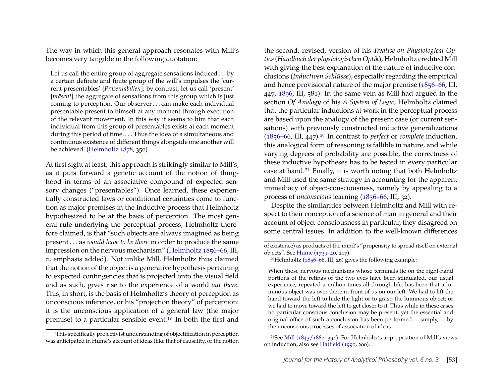The way in which this general approach resonates with Mill's becomes very tangible in the following quotation:

Let us call the entire group of aggregate sensations induced . . . by a certain definite and finite group of the will's impulses the 'current presentables' [*Präsentabilien*]; by contrast, let us call 'present' [*präsent*] the aggregate of sensations from this group which is just coming to perception. Our observer . . . can make each individual presentable present to himself at any moment through execution of the relevant movement. In this way it seems to him that each individual from this group of presentables exists at each moment during this period of time.... Thus the idea of a simultaneous and continuous existence of different things alongside one another will be achieved. [\(Helmholtz 1878,](#page-19-0) 350)

At first sight at least, this approach is strikingly similar to Mill's, as it puts forward a genetic account of the notion of thinghood in terms of an associative compound of expected sensory changes ("presentables"). Once learned, these experientially constructed laws or conditional certainties come to function as major premises in the inductive process that Helmholtz hypothesized to be at the basis of perception. The most general rule underlying the perceptual process, Helmholtz therefore claimed, is that "such objects are always imagined as being present . . . as *would have to be there* in order to produce the same impression on the nervous mechanism" [\(Helmholtz 1856–66,](#page-19-13) III, 2, emphasis added). Not unlike Mill, Helmholtz thus claimed that the notion of the object is a generative hypothesis pertaining to expected contingencies that is projected onto the visual field and as such, gives rise to the experience of a world *out there*. This, in short, is the basis of Helmholtz's theory of perception as unconscious inference, or his "projection theory" of perception: it is the unconscious application of a general law (the major premise) to a particular sensible event.[19](#page-11-0) In both the first and the second, revised, version of his *Treatise on Physiological Optics*(*Handbuch der physiologischen Optik*), Helmholtz credited Mill with giving the best explanation of the nature of inductive conclusions (*Inductiven Schlüsse*), especially regarding the empirical and hence provisional nature of the major premise [\(1856–66,](#page-19-13) III, 447, [1896,](#page-19-14) III, 581). In the same vein as Mill had argued in the section *Of Analogy* of his *A System of Logic,* Helmholtz claimed that the particular inductions at work in the perceptual process are based upon the analogy of the present case (or current sensations) with previously constructed inductive generalizations [\(1856–66,](#page-19-13) III, 447).[20](#page-11-1) In contrast to *perfect* or *complete* induction, this analogical form of reasoning is fallible in nature, and while varying degrees of probability are possible, the correctness of these inductive hypotheses has to be tested in every particular case at hand.[21](#page-11-2) Finally, it is worth noting that both Helmholtz and Mill used the same strategy in accounting for the apparent immediacy of object-consciousness, namely by appealing to a process of *unconscious* learning [\(1856–66,](#page-19-13) III, 32).

Despite the similarities between Helmholtz and Mill with respect to their conception of a science of man in general and their account of object-consciousness in particular, they disagreed on some central issues. In addition to the well-known differences

<span id="page-11-2"></span>21See [Mill](#page-20-15) [\(1843/1882,](#page-20-15) 394). For Helmholtz's appropriation of Mill's views on induction, also see [Hatfield](#page-18-1) [\(1990,](#page-18-1) 200).

<span id="page-11-0"></span><sup>19</sup>This specifically projectivist understanding of objectification in perception was anticipated in Hume's account of ideas (like that of causality, or the notion

of existence) as products of the mind's "propensity to spread itself on external objects". See [Hume](#page-19-4) [\(1739–40,](#page-19-4) 217).

<span id="page-11-1"></span><sup>&</sup>lt;sup>20</sup>Helmholtz ( $1856-66$ , III, 26) gives the following example:

When those nervous mechanisms whose terminals lie on the right-hand portions of the retinas of the two eyes have been stimulated, our usual experience, repeated a million times all through life, has been that a luminous object was over there in front of us on our left. We had to lift the hand toward the left to hide the light or to grasp the luminous object; or we had to move toward the left to get closer to it. Thus while in these cases no particular conscious conclusion may be present, yet the essential and original office of such a conclusion has been performed ... simply, ... by the unconscious processes of association of ideas . . .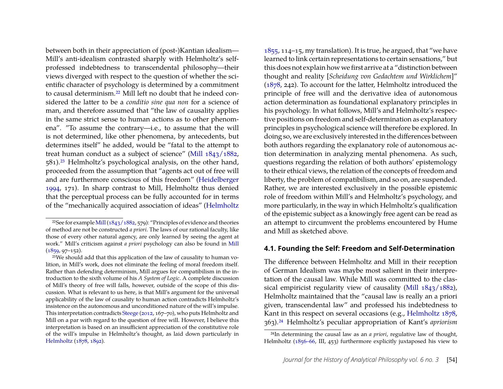between both in their appreciation of (post-)Kantian idealism— Mill's anti-idealism contrasted sharply with Helmholtz's selfprofessed indebtedness to transcendental philosophy—their views diverged with respect to the question of whether the scientific character of psychology is determined by a commitment to causal determinism.[22](#page-12-0) Mill left no doubt that he indeed considered the latter to be a *conditio sine qua non* for a science of man, and therefore assumed that "the law of causality applies in the same strict sense to human actions as to other phenomena". "To assume the contrary—i.e., to assume that the will is not determined, like other phenomena, by antecedents, but determines itself" he added, would be "fatal to the attempt to treat human conduct as a subject of science" [\(Mill 1843/1882,](#page-20-15) 581).[23](#page-12-1) Helmholtz's psychological analysis, on the other hand, proceeded from the assumption that "agents act out of free will and are furthermore conscious of this freedom" [\(Heidelberger](#page-18-15) [1994,](#page-18-15) 171). In sharp contrast to Mill, Helmholtz thus denied that the perceptual process can be fully accounted for in terms of the "mechanically acquired association of ideas" [\(Helmholtz](#page-19-15) [1855,](#page-19-15) 114–15, my translation). It is true, he argued, that "we have learned to link certain representations to certain sensations," but this does not explain how we first arrive at a "distinction between thought and reality [*Scheidung von Gedachtem und Wirklichem*]" [\(1878,](#page-19-0) 242). To account for the latter, Helmholtz introduced the principle of free will and the derivative idea of autonomous action determination as foundational explanatory principles in his psychology. In what follows, Mill's and Helmholtz's respective positions on freedom and self-determination as explanatory principles in psychological science will therefore be explored. In doing so, we are exclusively interested in the differences between both authors regarding the explanatory role of autonomous action determination in analyzing mental phenomena. As such, questions regarding the relation of both authors' epistemology to their ethical views, the relation of the concepts of freedom and liberty, the problem of compatibilism, and so on, are suspended. Rather, we are interested exclusively in the possible epistemic role of freedom within Mill's and Helmholtz's psychology, and more particularly, in the way in which Helmholtz's qualification of the epistemic subject as a knowingly free agent can be read as an attempt to circumvent the problems encountered by Hume and Mill as sketched above.

#### **4.1. Founding the Self: Freedom and Self-Determination**

The difference between Helmholtz and Mill in their reception of German Idealism was maybe most salient in their interpretation of the causal law. While Mill was committed to the classical empiricist regularity view of causality [\(Mill 1843/1882\)](#page-20-15), Helmholtz maintained that the "causal law is really an a priori given, transcendental law" and professed his indebtedness to Kant in this respect on several occasions (e.g., [Helmholtz 1878,](#page-19-0) 363).[24](#page-12-2) Helmholtz's peculiar appropriation of Kant's *apriorism*

<span id="page-12-0"></span><sup>&</sup>lt;sup>22</sup>See for example Mill  $(1843/1882, 579)$ : "Principles of evidence and theories of method are not be constructed *a priori*. The laws of our rational faculty, like those of every other natural agency, are only learned by seeing the agent at work." Mill's criticism against *a priori* psychology can also be found in [Mill](#page-20-18)  $(1859, 97 - 152)$  $(1859, 97 - 152)$ .

<span id="page-12-1"></span><sup>23</sup>We should add that this application of the law of causality to human volition, in Mill's work, does not eliminate the feeling of moral freedom itself. Rather than defending determinism, Mill argues for compatibilism in the introduction to the sixth volume of his *A System of Logic*. A complete discussion of Mill's theory of free will falls, however, outside of the scope of this discussion. What is relevant to us here, is that Mill's argument for the universal applicability of the law of causality to human action contradicts Helmholtz's insistence on the autonomous and unconditioned nature of the will's impulse. This interpretation contradicts [Steege](#page-20-19) [\(2012,](#page-20-19) 167–70), who puts Helmholtz and Mill on a par with regard to the question of free will. However, I believe this interpretation is based on an insufficient appreciation of the constitutive role of the will's impulse in Helmholtz's thought, as laid down particularly in [Helmholtz](#page-19-0) [\(1878,](#page-19-0) [1892\)](#page-19-16).

<span id="page-12-2"></span><sup>24</sup>In determining the causal law as an *a priori*, regulative law of thought, Helmholtz [\(1856–66,](#page-19-13) III, 453) furthermore explicitly juxtaposed his view to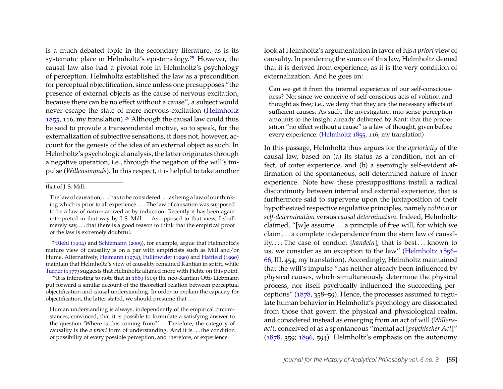is a much-debated topic in the secondary literature, as is its systematic place in Helmholtz's epistemology.[25](#page-13-0) However, the causal law also had a pivotal role in Helmholtz's psychology of perception. Helmholtz established the law as a precondition for perceptual objectification, since unless one presupposes "the presence of external objects as the cause of nervous excitation, because there can be no effect without a cause", a subject would never escape the state of mere nervous excitation [\(Helmholtz](#page-19-15)  $1855$ , 116, my translation).<sup>[26](#page-13-1)</sup> Although the causal law could thus be said to provide a transcendental motive, so to speak, for the externalization of subjective sensations, it does not, however, account for the genesis of the idea of an external object as such. In Helmholtz's psychological analysis, the latter originates through a negative operation, i.e., through the negation of the will's impulse (*Willensimpuls*). In this respect, it is helpful to take another

<span id="page-13-0"></span>25[Riehl](#page-20-20) [\(1904\)](#page-20-20) and [Schiemann](#page-20-2) [\(2009\)](#page-20-2), for example, argue that Helmholtz's mature view of causality is on a par with empiricists such as Mill and/or Hume. Alternatively, [Heimann](#page-19-17) [\(1974\)](#page-19-17), [Fullinwider](#page-18-16) [\(1990\)](#page-18-16) and [Hatfield](#page-18-1) [\(1990\)](#page-18-1) maintain that Helmholtz's view of causality remained Kantian in spirit, while [Turner](#page-20-21) [\(1977\)](#page-20-21) suggests that Helmholtz aligned more with Fichte on this point.

<span id="page-13-1"></span><sup>26</sup>It is interesting to note that in  $1869$  (115) the neo-Kantian Otto Liebmann put forward a similar account of the theoretical relation between perceptual objectification and causal understanding. In order to explain the capacity for objectification, the latter stated, we should presume that . . .

Human understanding is always, independently of the empirical circumstances, convinced, that it is possible to formulate a satisfying answer to the question 'Where is this coming from?'...Therefore, the category of causality is the *a priori* form of understanding. And it is . . . the condition of possibility of every possible perception, and therefore, of experience.

look at Helmholtz's argumentation in favor of his *a priori* view of causality. In pondering the source of this law, Helmholtz denied that it is derived from experience, as it is the very condition of externalization. And he goes on:

Can we get it from the internal experience of our self-consciousness? No; since we conceive of self-conscious acts of volition and thought as free; i.e., we deny that they are the necessary effects of sufficient causes. As such, the investigation into sense perception amounts to the insight already delivered by Kant: that the proposition "no effect without a cause" is a law of thought, given before every experience. [\(Helmholtz 1855,](#page-19-15) 116, my translation)

In this passage, Helmholtz thus argues for the *aprioricity* of the causal law, based on (a) its status as a condition, not an effect, of outer experience, and (b) a seemingly self-evident affirmation of the spontaneous, self-determined nature of inner experience. Note how these presuppositions install a radical discontinuity between internal and external experience, that is furthermore said to supervene upon the juxtaposition of their hypothesized respective regulative principles, namely *volition* or *self-determination* versus *causal determination*. Indeed, Helmholtz claimed, "[w]e assume . . . a principle of free will, for which we claim . . . a complete independence from the stern law of causality.... The case of conduct [handeln], that is best... known to us, we consider as an exception to the law" [\(Helmholtz 1856–](#page-19-13) [66,](#page-19-13) III, 454; my translation). Accordingly, Helmholtz maintained that the will's impulse "has neither already been influenced by physical causes, which simultaneously determine the physical process, nor itself psychically influenced the succeeding perceptions" [\(1878,](#page-19-0) 358–59). Hence, the processes assumed to regulate human behavior in Helmholtz's psychology are dissociated from those that govern the physical and physiological realm, and considered instead as emerging from an act of will (*Willensact*), conceived of as a spontaneous "mental act [*psychischer Act*]" [\(1878,](#page-19-0) 359; [1896,](#page-19-14) 594). Helmholtz's emphasis on the autonomy

that of J. S. Mill:

The law of causation, . . . has to be considered . . . as being a law of our thinking which is prior to all experience. . . . The law of causation was supposed to be a law of nature arrived at by induction. Recently it has been again interpreted in that way by J.S. Mill.... As opposed to that view, I shall merely say, . . . that there is a good reason to think that the empirical proof of the law is extremely doubtful.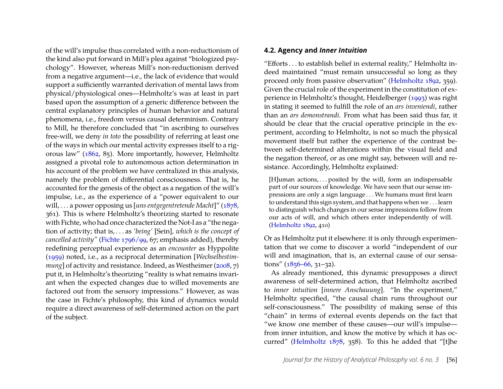of the will's impulse thus correlated with a non-reductionism of the kind also put forward in Mill's plea against "biologized psychology". However, whereas Mill's non-reductionism derived from a negative argument—i.e., the lack of evidence that would support a sufficiently warranted derivation of mental laws from physical/physiological ones—Helmholtz's was at least in part based upon the assumption of a generic difference between the central explanatory principles of human behavior and natural phenomena, i.e., freedom versus causal determinism. Contrary to Mill, he therefore concluded that "in ascribing to ourselves free-will, we deny *in toto* the possibility of referring at least one of the ways in which our mental activity expresses itself to a rigorous law" [\(1862,](#page-19-18) 85). More importantly, however, Helmholtz assigned a pivotal role to autonomous action determination in his account of the problem we have centralized in this analysis, namely the problem of differential consciousness. That is, he accounted for the genesis of the object as a negation of the will's impulse, i.e., as the experience of a "power equivalent to our will, . . . a power opposing us [*uns entgegentretende Macht*]" [\(1878,](#page-19-0) 361). This is where Helmholtz's theorizing started to resonate with Fichte, who had once characterized the Not-I as a "the negation of activity; that is, . . . as *'being'* [Sein]*, which is the concept of cancelled activity"* [\(Fichte 1796/99,](#page-18-12) 67; emphasis added), thereby redefining perceptual experience as an *encounter* as Hyppolite [\(1959\)](#page-19-19) noted, i.e., as a reciprocal determination [*Wechselbestimmung* of activity and resistance. Indeed, as Westheimer [\(2008,](#page-20-23) 7) put it, in Helmholtz's theorizing "reality is what remains invariant when the expected changes due to willed movements are factored out from the sensory impressions." However, as was the case in Fichte's philosophy, this kind of dynamics would require a direct awareness of self-determined action on the part of the subject.

#### **4.2. Agency and** *Inner Intuition*

"Efforts . . . to establish belief in external reality," Helmholtz indeed maintained "must remain unsuccessful so long as they proceed only from passive observation" [\(Helmholtz 1892,](#page-19-16) 359). Given the crucial role of the experiment in the constitution of experience in Helmholtz's thought, Heidelberger [\(1993\)](#page-18-17) was right in stating it seemed to fulfill the role of an *ars inveniendi*, rather than an *ars demonstrandi*. From what has been said thus far, it should be clear that the crucial operative principle in the experiment, according to Helmholtz, is not so much the physical movement itself but rather the experience of the contrast between self-determined alterations within the visual field and the negation thereof, or as one might say, between will and resistance. Accordingly, Helmholtz explained:

[H]uman actions, ... posited by the will, form an indispensable part of our sources of knowledge. We have seen that our sense impressions are only a sign language . . . We humans must first learn to understand this sign system, and that happens when we . . . learn to distinguish which changes in our sense impressions follow from our acts of will, and which others enter independently of will. [\(Helmholtz 1892,](#page-19-16) 410)

Or as Helmholtz put it elsewhere: it is only through experimentation that we come to discover a world "independent of our will and imagination, that is, an external cause of our sensations"  $(1856-66, 31-32)$ .

As already mentioned, this dynamic presupposes a direct awareness of self-determined action, that Helmholtz ascribed to *inner intuition* [*innere Anschauung*]. "In the experiment," Helmholtz specified, "the causal chain runs throughout our self-consciousness." The possibility of making sense of this "chain" in terms of external events depends on the fact that "we know one member of these causes—our will's impulse from inner intuition, and know the motive by which it has occurred" [\(Helmholtz 1878,](#page-19-0) 358). To this he added that "[t]he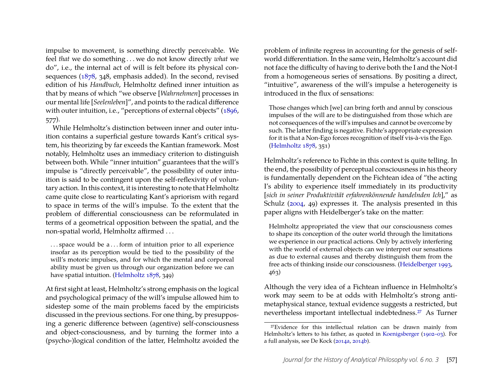impulse to movement, is something directly perceivable. We feel *that* we do something . . . we do not know directly *what* we do", i.e., the internal act of will is felt before its physical consequences [\(1878,](#page-19-0) 348, emphasis added). In the second, revised edition of his *Handbuch*, Helmholtz defined inner intuition as that by means of which "we observe [*Wahrnehmen*] processes in our mental life [*Seelenleben*]", and points to the radical difference with outer intuition, i.e., "perceptions of external objects" [\(1896,](#page-19-14) 577).

While Helmholtz's distinction between inner and outer intuition contains a superficial gesture towards Kant's critical system, his theorizing by far exceeds the Kantian framework. Most notably, Helmholtz uses an immediacy criterion to distinguish between both. While "inner intuition" guarantees that the will's impulse is "directly perceivable", the possibility of outer intuition is said to be contingent upon the self-reflexivity of voluntary action. In this context, it is interesting to note that Helmholtz came quite close to rearticulating Kant's apriorism with regard to space in terms of the will's impulse. To the extent that the problem of differential consciousness can be reformulated in terms of a geometrical opposition between the spatial, and the non-spatial world, Helmholtz affirmed . . .

. . . space would be a . . . form of intuition prior to all experience insofar as its perception would be tied to the possibility of the will's motoric impulses, and for which the mental and corporeal ability must be given us through our organization before we can have spatial intuition. [\(Helmholtz 1878,](#page-19-0) 349)

At first sight at least, Helmholtz's strong emphasis on the logical and psychological primacy of the will's impulse allowed him to sidestep some of the main problems faced by the empiricists discussed in the previous sections. For one thing, by presupposing a generic difference between (agentive) self-consciousness and object-consciousness, and by turning the former into a (psycho-)logical condition of the latter, Helmholtz avoided the problem of infinite regress in accounting for the genesis of selfworld differentiation. In the same vein, Helmholtz's account did not face the difficulty of having to derive both the I and the Not-I from a homogeneous series of sensations. By positing a direct, "intuitive", awareness of the will's impulse a heterogeneity is introduced in the flux of sensations:

Those changes which [we] can bring forth and annul by conscious impulses of the will are to be distinguished from those which are not consequences of the will's impulses and cannot be overcome by such. The latter finding is negative. Fichte's appropriate expression for it is that a Non-Ego forces recognition of itself vis-à-vis the Ego. [\(Helmholtz 1878,](#page-19-0) 351)

Helmholtz's reference to Fichte in this context is quite telling. In the end, the possibility of perceptual consciousness in his theory is fundamentally dependent on the Fichtean idea of "the acting I's ability to experience itself immediately in its productivity [*sich in seiner Produktivität erfahrenkönnende handelnden Ich*]," as Schulz [\(2004,](#page-20-24) 49) expresses it. The analysis presented in this paper aligns with Heidelberger's take on the matter:

Helmholtz appropriated the view that our consciousness comes to shape its conception of the outer world through the limitations we experience in our practical actions. Only by actively interfering with the world of external objects can we interpret our sensations as due to external causes and thereby distinguish them from the free acts of thinking inside our consciousness. [\(Heidelberger 1993,](#page-18-17) 463)

Although the very idea of a Fichtean influence in Helmholtz's work may seem to be at odds with Helmholtz's strong antimetaphysical stance, textual evidence suggests a restricted, but nevertheless important intellectual indebtedness.[27](#page-15-0) As Turner

<span id="page-15-0"></span><sup>27</sup>Evidence for this intellectual relation can be drawn mainly from Helmholtz's letters to his father, as quoted in [Koenigsberger](#page-20-25) [\(1902–03\)](#page-20-25). For a full analysis, see De Kock [\(2014a,](#page-18-3) [2014b\)](#page-18-4).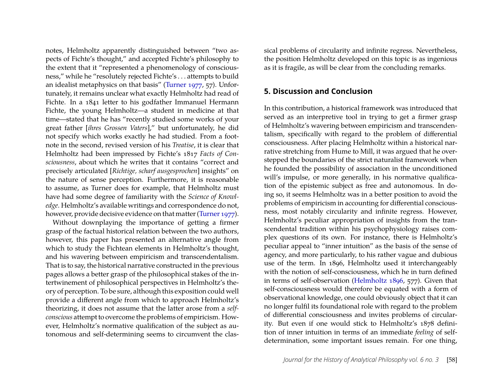notes, Helmholtz apparently distinguished between "two aspects of Fichte's thought," and accepted Fichte's philosophy to the extent that it "represented a phenomenology of consciousness," while he "resolutely rejected Fichte's . . . attempts to build an idealist metaphysics on that basis" [\(Turner 1977,](#page-20-21) 57). Unfortunately, it remains unclear what exactly Helmholtz had read of Fichte. In a 1841 letter to his godfather Immanuel Hermann Fichte, the young Helmholtz—a student in medicine at that time—stated that he has "recently studied some works of your great father [*ihres Grossen Vaters*]," but unfortunately, he did not specify which works exactly he had studied. From a footnote in the second, revised version of his *Treatise*, it is clear that Helmholtz had been impressed by Fichte's 1817 *Facts of Consciousness*, about which he writes that it contains "correct and precisely articulated [*Richtige, scharf ausgesprochen*] insights" on the nature of sense perception. Furthermore, it is reasonable to assume, as Turner does for example, that Helmholtz must have had some degree of familiarity with the *Science of Knowledge*. Helmholtz's available writings and correspondence do not, however, provide decisive evidence on that matter [\(Turner 1977\)](#page-20-21).

Without downplaying the importance of getting a firmer grasp of the factual historical relation between the two authors, however, this paper has presented an alternative angle from which to study the Fichtean elements in Helmholtz's thought, and his wavering between empiricism and transcendentalism. That is to say, the historical narrative constructed in the previous pages allows a better grasp of the philosophical stakes of the intertwinement of philosophical perspectives in Helmholtz's theory of perception. To be sure, although this exposition could well provide a different angle from which to approach Helmholtz's theorizing, it does not assume that the latter arose from a *selfconscious* attempt to overcome the problems of empiricism. However, Helmholtz's normative qualification of the subject as autonomous and self-determining seems to circumvent the classical problems of circularity and infinite regress. Nevertheless, the position Helmholtz developed on this topic is as ingenious as it is fragile, as will be clear from the concluding remarks.

#### **5. Discussion and Conclusion**

In this contribution, a historical framework was introduced that served as an interpretive tool in trying to get a firmer grasp of Helmholtz's wavering between empiricism and transcendentalism, specifically with regard to the problem of differential consciousness. After placing Helmholtz within a historical narrative stretching from Hume to Mill, it was argued that he overstepped the boundaries of the strict naturalist framework when he founded the possibility of association in the unconditioned will's impulse, or more generally, in his normative qualification of the epistemic subject as free and autonomous. In doing so, it seems Helmholtz was in a better position to avoid the problems of empiricism in accounting for differential consciousness, most notably circularity and infinite regress. However, Helmholtz's peculiar appropriation of insights from the transcendental tradition within his psychophysiology raises complex questions of its own. For instance, there is Helmholtz's peculiar appeal to "inner intuition" as the basis of the sense of agency, and more particularly, to his rather vague and dubious use of the term. In 1896, Helmholtz used it interchangeably with the notion of self-consciousness, which he in turn defined in terms of self-observation [\(Helmholtz 1896,](#page-19-14) 577). Given that self-consciousness would therefore be equated with a form of observational knowledge, one could obviously object that it can no longer fulfil its foundational role with regard to the problem of differential consciousness and invites problems of circularity. But even if one would stick to Helmholtz's 1878 definition of inner intuition in terms of an immediate *feeling* of selfdetermination, some important issues remain. For one thing,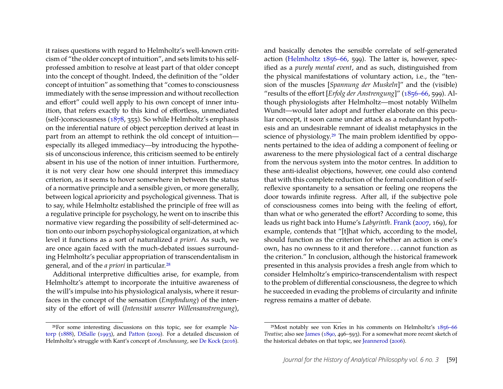it raises questions with regard to Helmholtz's well-known criticism of "the older concept of intuition", and sets limits to his selfprofessed ambition to resolve at least part of that older concept into the concept of thought. Indeed, the definition of the "older concept of intuition" as something that "comes to consciousness immediately with the sense impression and without recollection and effort" could well apply to his own concept of inner intuition, that refers exactly to this kind of effortless, unmediated (self-)consciousness [\(1878,](#page-19-0) 355). So while Helmholtz's emphasis on the inferential nature of object perception derived at least in part from an attempt to rethink the old concept of intuition especially its alleged immediacy—by introducing the hypothesis of unconscious inference, this criticism seemed to be entirely absent in his use of the notion of inner intuition. Furthermore, it is not very clear how one should interpret this immediacy criterion, as it seems to hover somewhere in between the status of a normative principle and a sensible given, or more generally, between logical aprioricity and psychological givenness. That is to say, while Helmholtz established the principle of free will as a regulative principle for psychology, he went on to inscribe this normative view regarding the possibility of self-determined action onto our inborn psychophysiological organization, at which level it functions as a sort of naturalized *a priori*. As such, we are once again faced with the much-debated issues surrounding Helmholtz's peculiar appropriation of transcendentalism in general, and of the *a priori* in particular.[28](#page-17-0)

Additional interpretive difficulties arise, for example, from Helmholtz's attempt to incorporate the intuitive awareness of the will's impulse into his physiological analysis, where it resurfaces in the concept of the sensation (*Empfindung*) of the intensity of the effort of will (*Intensität unserer Willensanstrengung*),

and basically denotes the sensible correlate of self-generated action [\(Helmholtz 1856–66,](#page-19-13) 599). The latter is, however, specified as a *purely mental event*, and as such, distinguished from the physical manifestations of voluntary action, i.e., the "tension of the muscles [*Spannung der Muskeln*]" and the (visible) "results of the effort [*Erfolg der Anstrengung*]" [\(1856–66,](#page-19-13) 599). Although physiologists after Helmholtz—most notably Wilhelm Wundt—would later adopt and further elaborate on this peculiar concept, it soon came under attack as a redundant hypothesis and an undesirable remnant of idealist metaphysics in the science of physiology.[29](#page-17-1) The main problem identified by opponents pertained to the idea of adding a component of feeling or awareness to the mere physiological fact of a central discharge from the nervous system into the motor centres. In addition to these anti-idealist objections, however, one could also contend that with this complete reduction of the formal condition of selfreflexive spontaneity to a sensation or feeling one reopens the door towards infinite regress. After all, if the subjective pole of consciousness comes into being with the feeling of effort, than what or who generated the effort? According to some, this leads us right back into Hume's *Labyrinth*. [Frank](#page-18-7) [\(2007,](#page-18-7) 169), for example, contends that "[t]hat which, according to the model, should function as the criterion for whether an action is one's own, has no ownness to it and therefore . . . cannot function as the criterion." In conclusion, although the historical framework presented in this analysis provides a fresh angle from which to consider Helmholtz's empirico-transcendentalism with respect to the problem of differential consciousness, the degree to which he succeeded in evading the problems of circularity and infinite regress remains a matter of debate.

<span id="page-17-0"></span><sup>28</sup>For some interesting discussions on this topic, see for example [Na](#page-20-26)[torp](#page-20-26) [\(1888\)](#page-20-26), [DiSalle](#page-18-18) [\(1993\)](#page-18-18), and [Patton](#page-20-27) [\(2009\)](#page-20-27). For a detailed discussion of Helmholtz's struggle with Kant's concept of *Anschauung*, see [De Kock](#page-18-5) [\(2016\)](#page-18-5).

<span id="page-17-1"></span><sup>29</sup>Most notably see von Kries in his comments on Helmholtz's [1856–66](#page-19-13) *Treatise*; also see [James](#page-19-1) [\(1890,](#page-19-1) 496–593). For a somewhat more recent sketch of the historical debates on that topic, see [Jeannerod](#page-19-20) [\(2006\)](#page-19-20).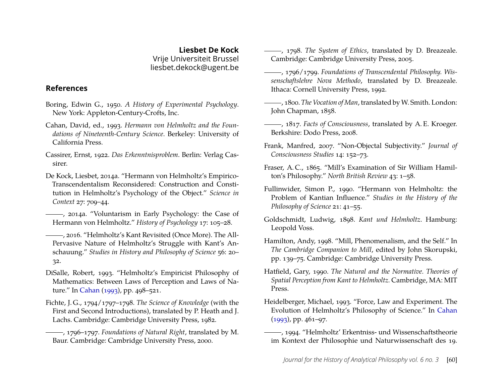**Liesbet De Kock** Vrije Universiteit Brussel liesbet.dekock@ugent.be

#### **References**

- <span id="page-18-6"></span>Boring, Edwin G., 1950. *A History of Experimental Psychology*. New York: Appleton-Century-Crofts, Inc.
- <span id="page-18-2"></span>Cahan, David, ed., 1993. *Hermann von Helmholtz and the Foundations of Nineteenth-Century Science*. Berkeley: University of California Press.
- <span id="page-18-8"></span>Cassirer, Ernst, 1922. *Das Erkenntnisproblem*. Berlin: Verlag Cassirer.
- <span id="page-18-3"></span>De Kock, Liesbet, 2014a. "Hermann von Helmholtz's Empirico-Transcendentalism Reconsidered: Construction and Constitution in Helmholtz's Psychology of the Object." *Science in Context* 27: 709–44.

<span id="page-18-4"></span>- zo14a. "Voluntarism in Early Psychology: the Case of Hermann von Helmholtz." *History of Psychology* 17: 105–28.

<span id="page-18-5"></span>, 2016. "Helmholtz's Kant Revisited (Once More). The All-Pervasive Nature of Helmholtz's Struggle with Kant's Anschauung." *Studies in History and Philosophy of Science* 56: 20– 32.

- <span id="page-18-18"></span>DiSalle, Robert, 1993. "Helmholtz's Empiricist Philosophy of Mathematics: Between Laws of Perception and Laws of Nature." In [Cahan](#page-18-2) [\(1993\)](#page-18-2), pp. 498–521.
- <span id="page-18-11"></span>Fichte, J. G., 1794/1797–1798. *The Science of Knowledge* (with the First and Second Introductions), translated by P. Heath and J. Lachs. Cambridge: Cambridge University Press, 1982.
- , 1796–1797. *Foundations of Natural Right*, translated by M. Baur. Cambridge: Cambridge University Press, 2000.
- <span id="page-18-10"></span>, 1798. *The System of Ethics*, translated by D. Breazeale. Cambridge: Cambridge University Press, 2005.
- <span id="page-18-12"></span>, 1796/1799. *Foundations of Transcendental Philosophy. Wissenschaftslehre Nova Methodo*, translated by D. Breazeale. Ithaca: Cornell University Press, 1992.
- <span id="page-18-13"></span>, 1800. *The Vocation of Man*, translated byW. Smith. London: John Chapman, 1858.
- , 1817. *Facts of Consciousness*, translated by A. E. Kroeger. Berkshire: Dodo Press, 2008.
- <span id="page-18-7"></span>Frank, Manfred, 2007. "Non-Objectal Subjectivity." *Journal of Consciousness Studies* 14: 152–73.
- <span id="page-18-9"></span>Fraser, A. C., 1865. "Mill's Examination of Sir William Hamilton's Philosophy." *North British Review* 43: 1–58.
- <span id="page-18-16"></span>Fullinwider, Simon P., 1990. "Hermann von Helmholtz: the Problem of Kantian Influence." *Studies in the History of the Philosophy of Science* 21: 41–55.
- <span id="page-18-0"></span>Goldschmidt, Ludwig, 1898. *Kant und Helmholtz*. Hamburg: Leopold Voss.
- <span id="page-18-14"></span>Hamilton, Andy, 1998. "Mill, Phenomenalism, and the Self." In *The Cambridge Companion to Mill*, edited by John Skorupski, pp. 139–75. Cambridge: Cambridge University Press.
- <span id="page-18-1"></span>Hatfield, Gary, 1990. *The Natural and the Normative. Theories of Spatial Perception from Kant to Helmholtz.* Cambridge, MA: MIT Press.
- <span id="page-18-17"></span>Heidelberger, Michael, 1993. "Force, Law and Experiment. The Evolution of Helmholtz's Philosophy of Science." In [Cahan](#page-18-2) [\(1993\)](#page-18-2), pp. 461–97.
- <span id="page-18-15"></span>, 1994. "Helmholtz' Erkentniss- und Wissenschaftstheorie im Kontext der Philosophie und Naturwissenschaft des 19.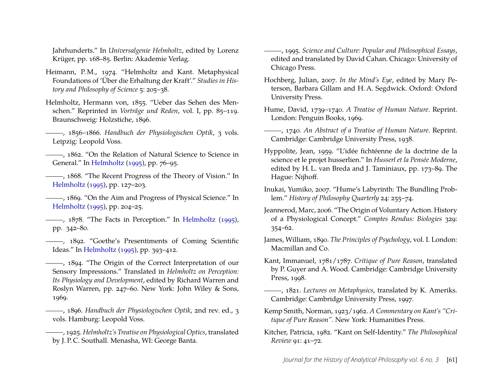Jahrhunderts." In *Universalgenie Helmholtz*, edited by Lorenz Krüger, pp. 168–85. Berlin: Akademie Verlag.

- <span id="page-19-17"></span>Heimann, P.M., 1974. "Helmholtz and Kant. Metaphysical Foundations of 'Über die Erhaltung der Kraft'." *Studies in History and Philosophy of Science* 5: 205–38.
- <span id="page-19-15"></span>Helmholtz, Hermann von, 1855. "Ueber das Sehen des Menschen." Reprinted in *Vorträge und Reden*, vol. I, pp. 85–119. Braunschweig: Holzstiche, 1896.

- <span id="page-19-18"></span>, 1862. "On the Relation of Natural Science to Science in General." In [Helmholtz](#page-19-21) [\(1995\)](#page-19-21), pp. 76–95.
- <span id="page-19-12"></span>, 1868. "The Recent Progress of the Theory of Vision." In [Helmholtz](#page-19-21) [\(1995\)](#page-19-21), pp. 127–203.

<span id="page-19-10"></span>, 1869. "On the Aim and Progress of Physical Science." In [Helmholtz](#page-19-21) [\(1995\)](#page-19-21), pp. 204–25.

- <span id="page-19-0"></span>-, 1878. "The Facts in Perception." In [Helmholtz](#page-19-21) [\(1995\)](#page-19-21), pp. 342–80.
- <span id="page-19-16"></span>, 1892. "Goethe's Presentiments of Coming Scientific Ideas." In [Helmholtz](#page-19-21) [\(1995\)](#page-19-21), pp. 393–412.

<span id="page-19-11"></span>(1894) ------, 1894. "The Origin of the Correct Interpretation of our Sensory Impressions." Translated in *Helmholtz on Perception: Its Physiology and Development*, edited by Richard Warren and Roslyn Warren, pp. 247–60. New York: John Wiley & Sons, 1969.

<span id="page-19-14"></span>, 1896. *Handbuch der Physiologischen Optik*, 2nd rev. ed., 3 vols. Hamburg: Leopold Voss.

, 1925. *Helmholtz's Treatise on Physiological Optics*, translated by J. P. C. Southall. Menasha, WI: George Banta.

<span id="page-19-21"></span>, 1995. *Science and Culture: Popular and Philosophical Essays*, edited and translated by David Cahan. Chicago: University of Chicago Press.

- <span id="page-19-2"></span>Hochberg, Julian, 2007. *In the Mind's Eye*, edited by Mary Peterson, Barbara Gillam and H. A. Segdwick. Oxford: Oxford University Press.
- <span id="page-19-4"></span>Hume, David, 1739–1740. *A Treatise of Human Nature*. Reprint. London: Penguin Books, 1969.
- <span id="page-19-3"></span>, 1740. *An Abstract of a Treatise of Human Nature*. Reprint. Cambridge: Cambridge University Press, 1938.
- <span id="page-19-19"></span>Hyppolite, Jean, 1959. "L'idée fichtéenne de la doctrine de la science et le projet husserlien." In *Husserl et la Pensée Moderne*, edited by H. L. van Breda and J. Taminiaux, pp. 173–89. The Hague: Nijhoff.
- <span id="page-19-6"></span>Inukai, Yumiko, 2007. "Hume's Labyrinth: The Bundling Problem." *History of Philosophy Quarterly* 24: 255–74.
- <span id="page-19-20"></span>Jeannerod, Marc, 2006. "The Origin of Voluntary Action. History of a Physiological Concept." *Comptes Rendus: Biologies* 329: 354–62.
- <span id="page-19-1"></span>James, William, 1890. *The Principles of Psychology*, vol. I. London: Macmillan and Co.
- <span id="page-19-5"></span>Kant, Immanuel, 1781/1787. *Critique of Pure Reason*, translated by P. Guyer and A. Wood. Cambridge: Cambridge University Press, 1998.

<span id="page-19-9"></span>, 1821. *Lectures on Metaphysics*, translated by K. Ameriks. Cambridge: Cambridge University Press, 1997.

- <span id="page-19-7"></span>Kemp Smith, Norman, 1923/1962. *A Commentary on Kant's "Critique of Pure Reason".* New York: Humanities Press.
- <span id="page-19-8"></span>Kitcher, Patricia, 1982. "Kant on Self-Identity." *The Philosophical Review* 91: 41–72.

<span id="page-19-13"></span><sup>, 1856–1866.</sup> *Handbuch der Physiologischen Optik*, 3 vols. Leipzig: Leopold Voss.